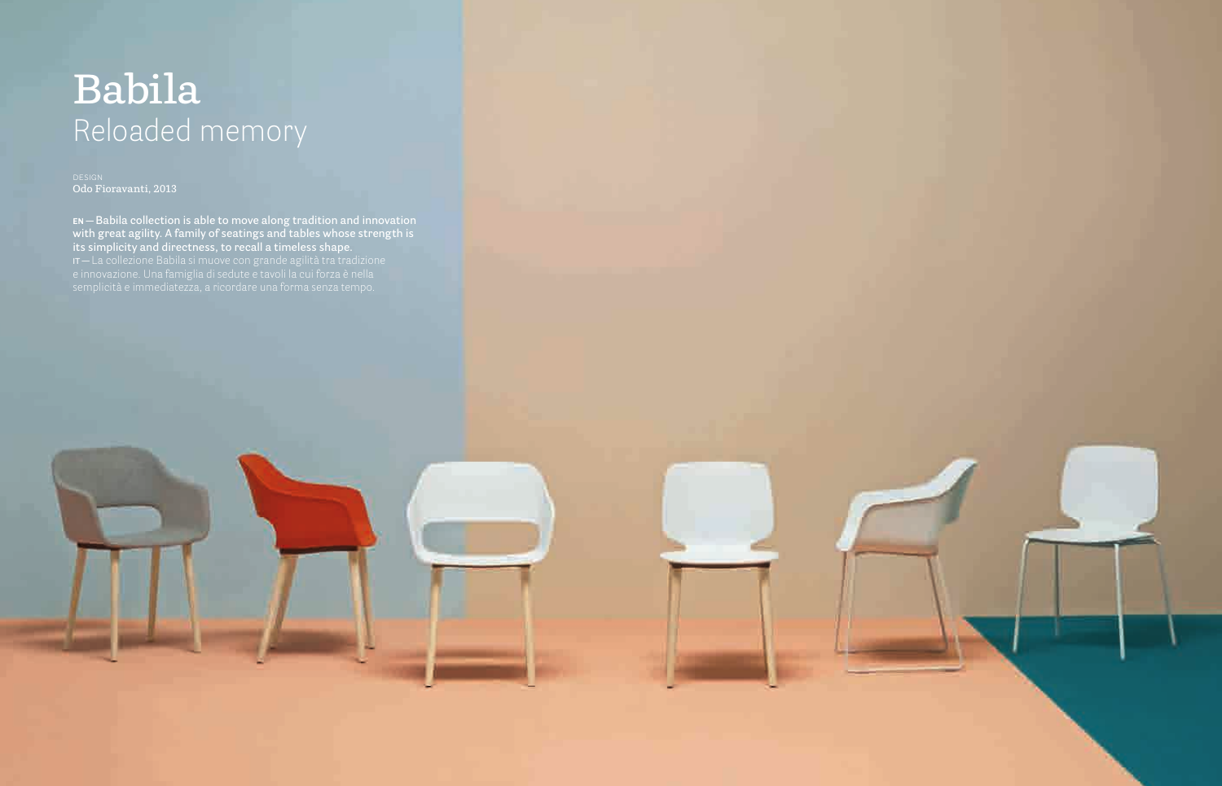# **Babila** Reloaded memory

**Odo Fioravanti, 2013**

**EN — Babila collection is able to move along tradition and innovation with great agility. A family of seatings and tables whose strength is its simplicity and directness, to recall a timeless shape.** 

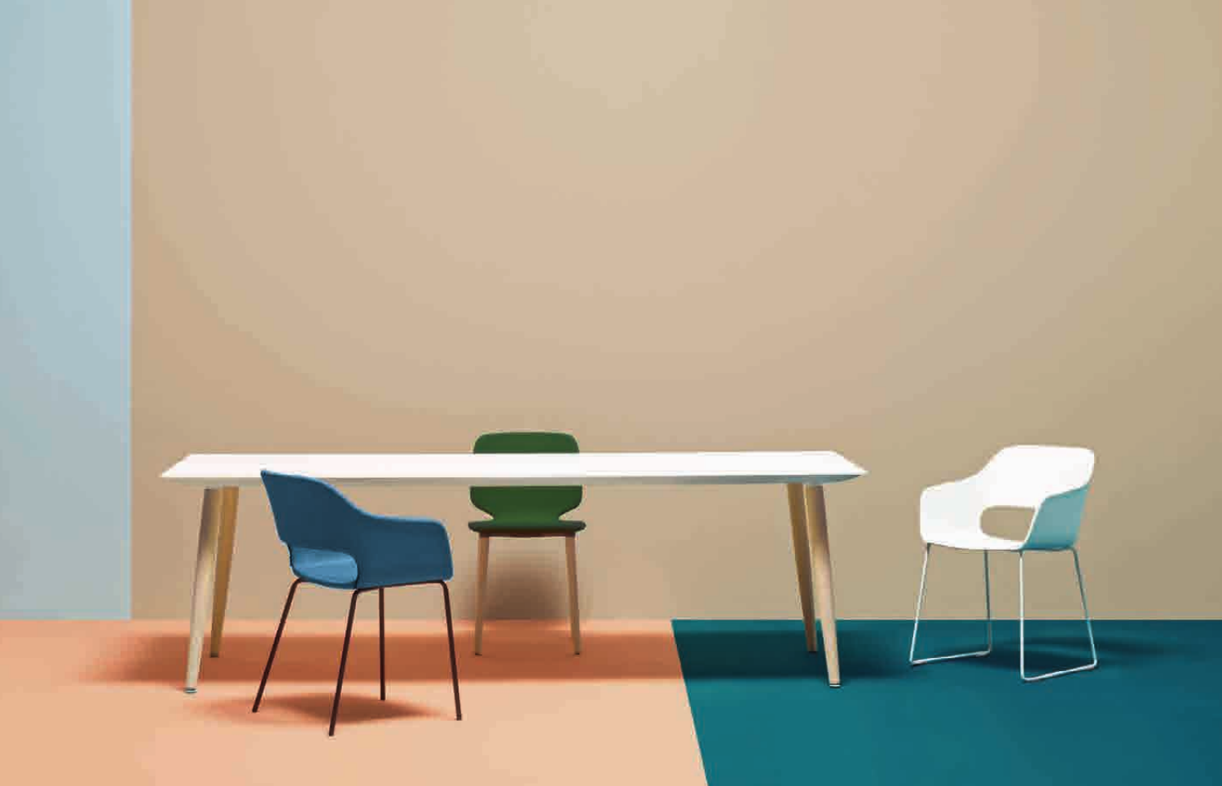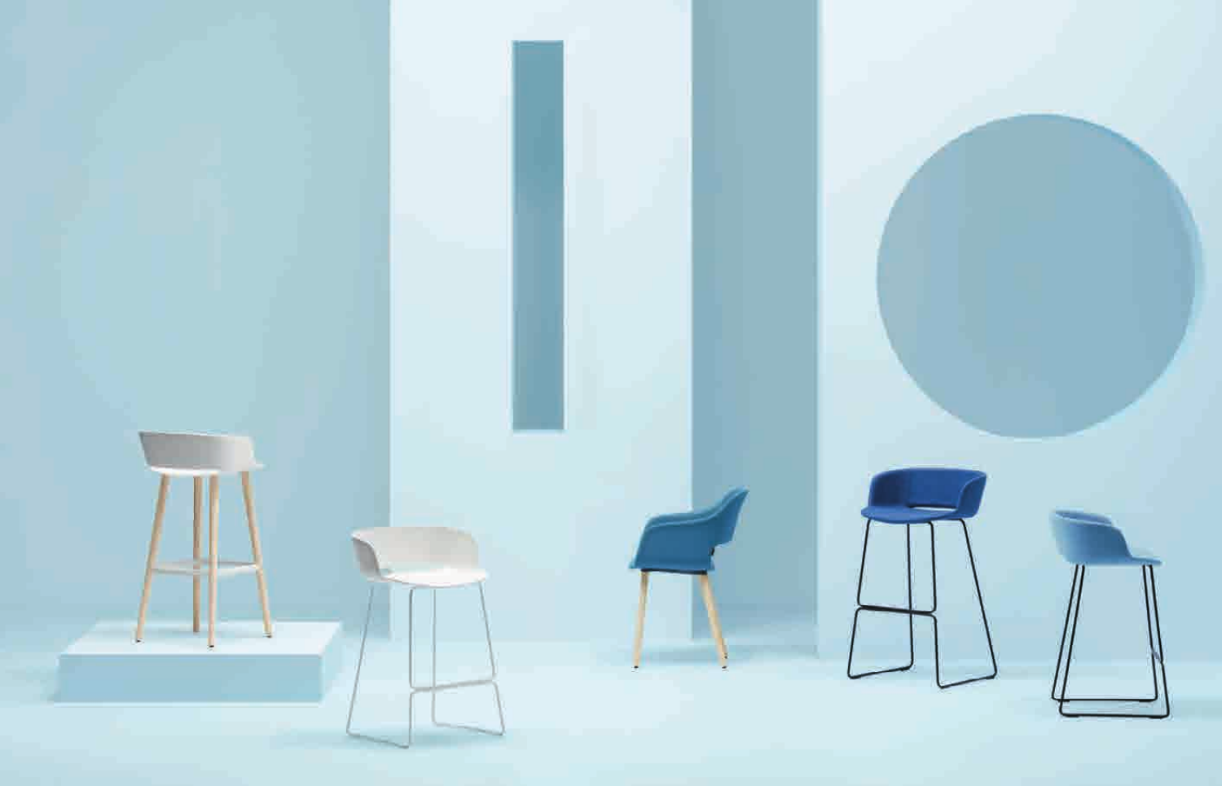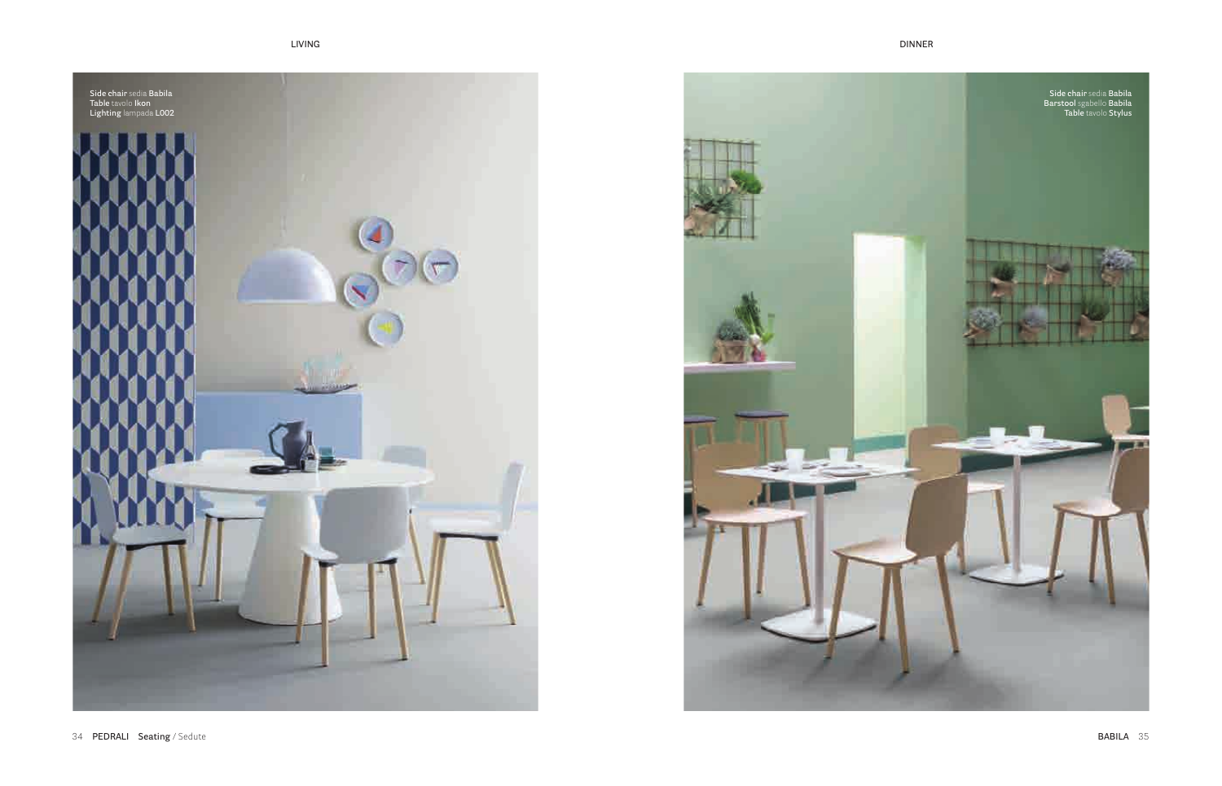



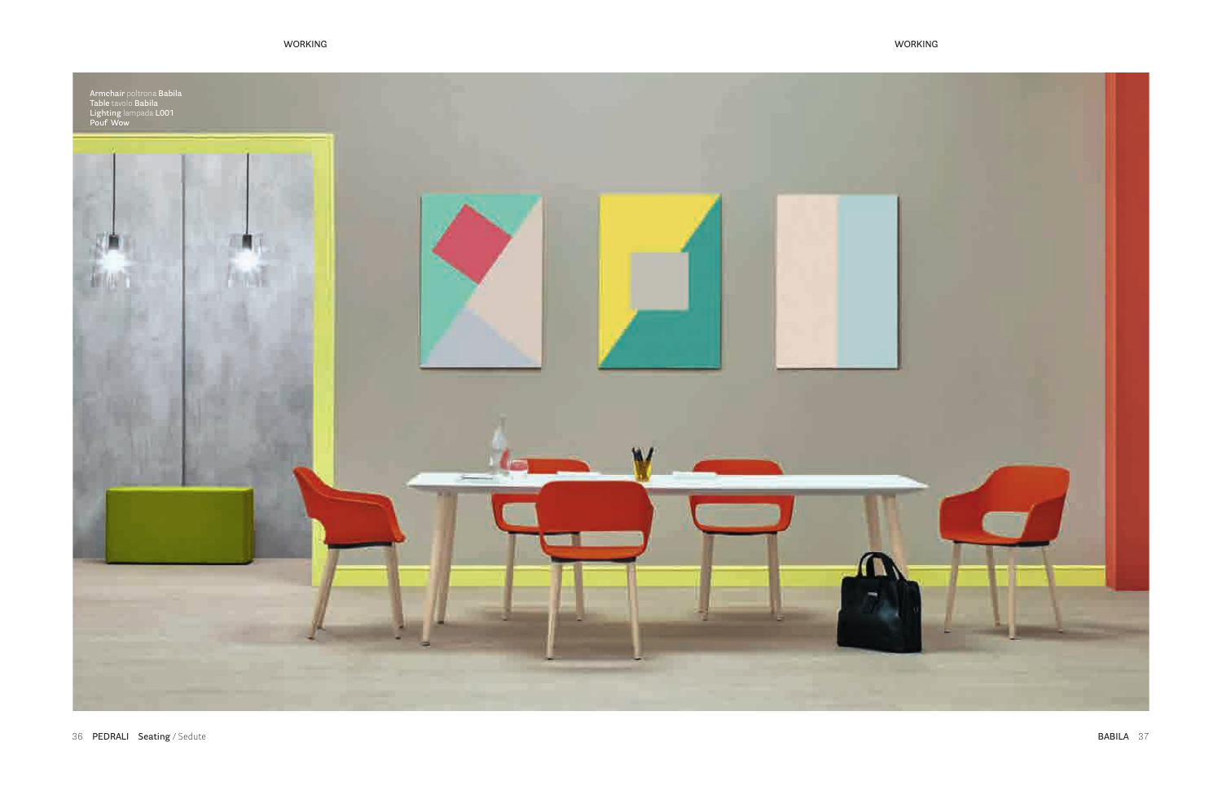#### **WORKING WORKING**



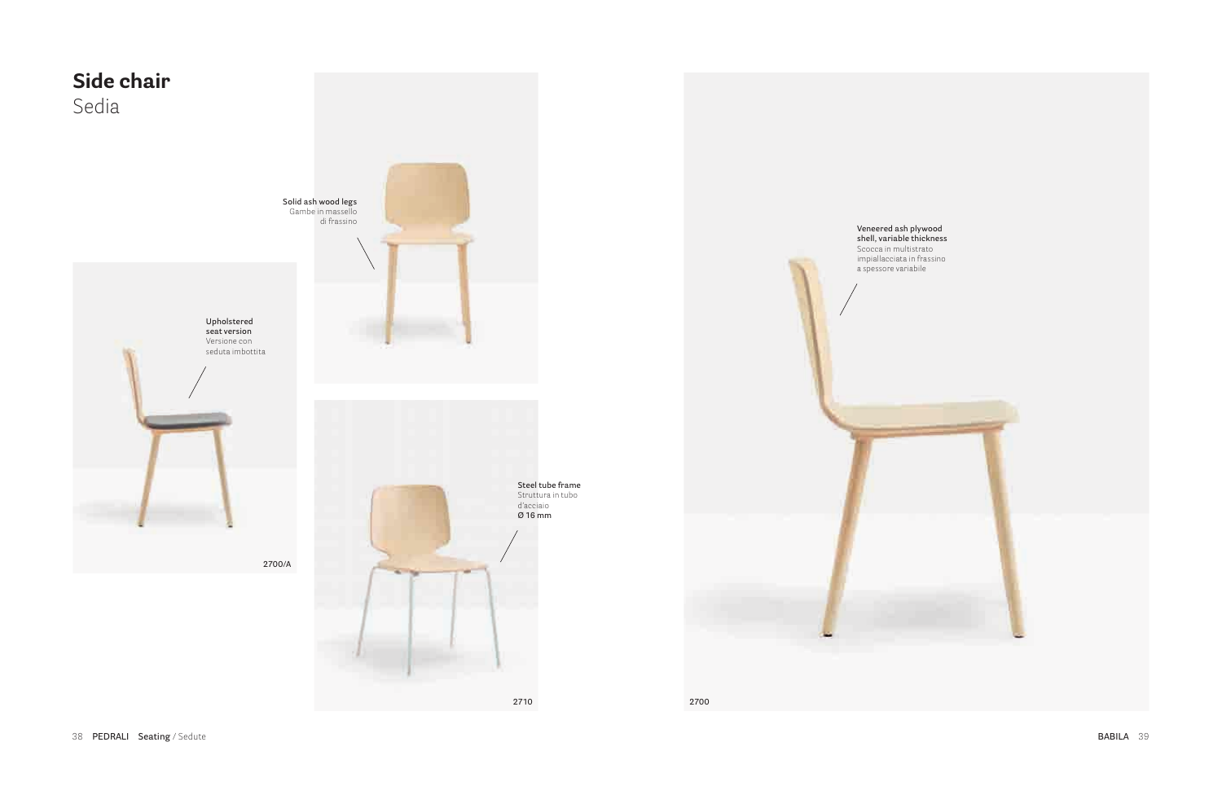

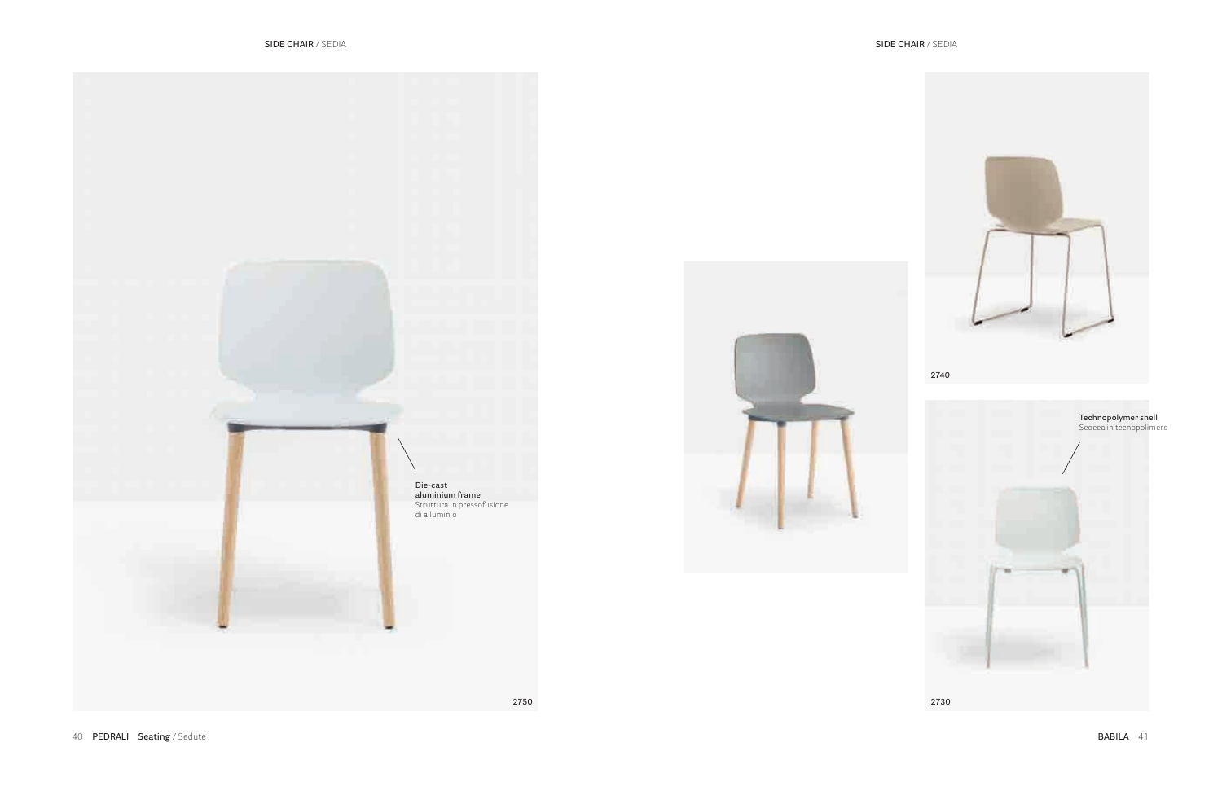

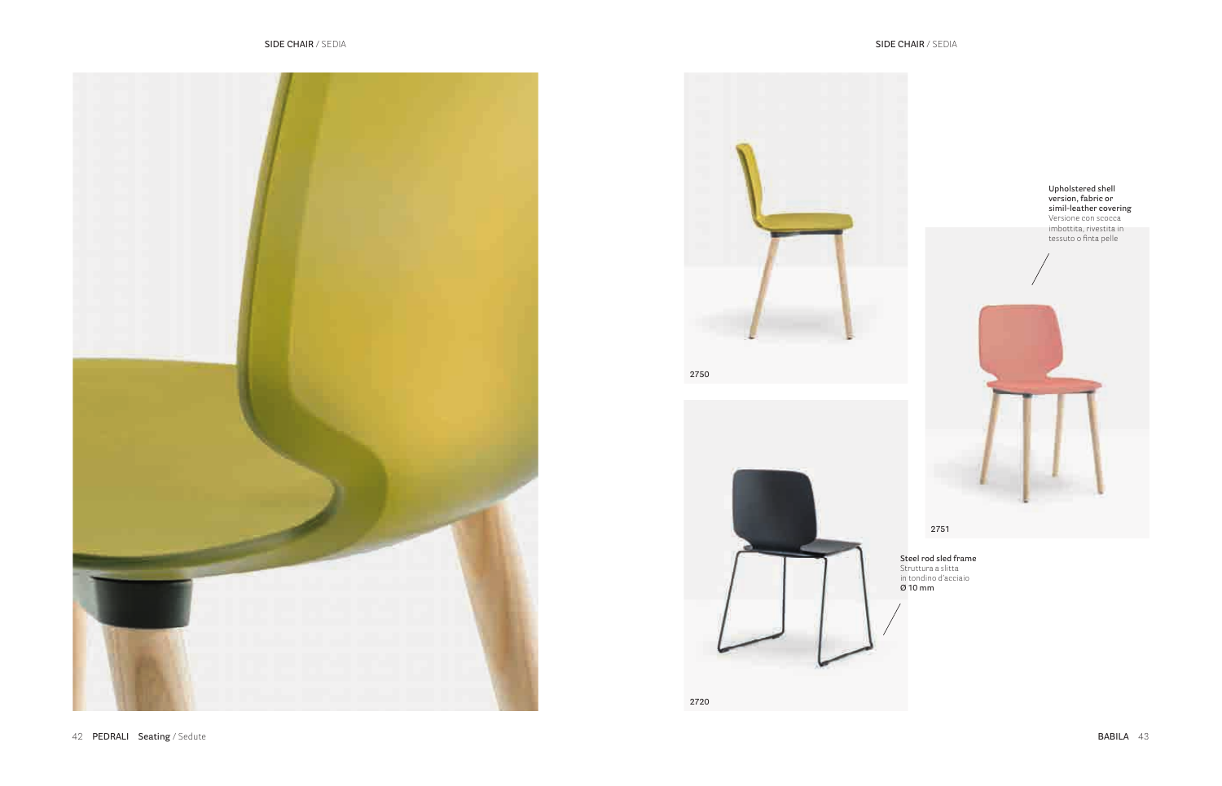

**Steel rod sled frame** Struttura a slitta in tondino d'acciaio



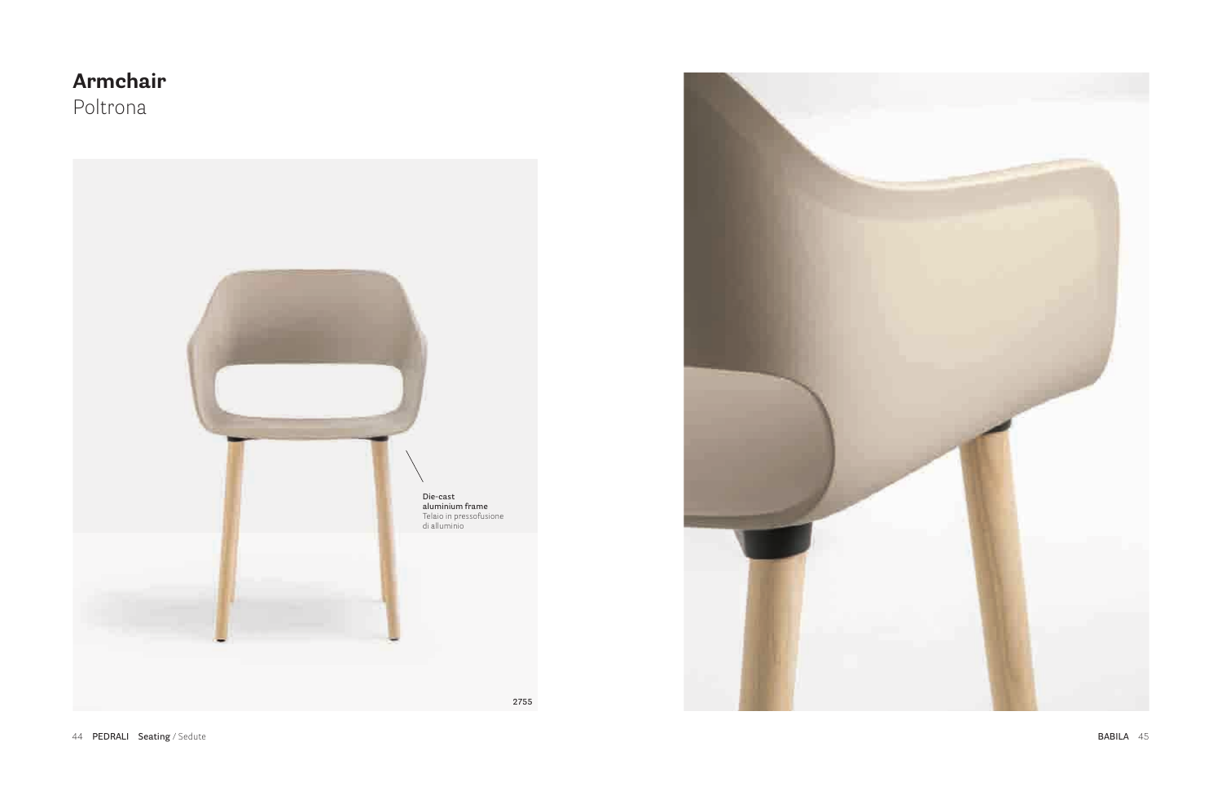



# **Armchair**

Poltrona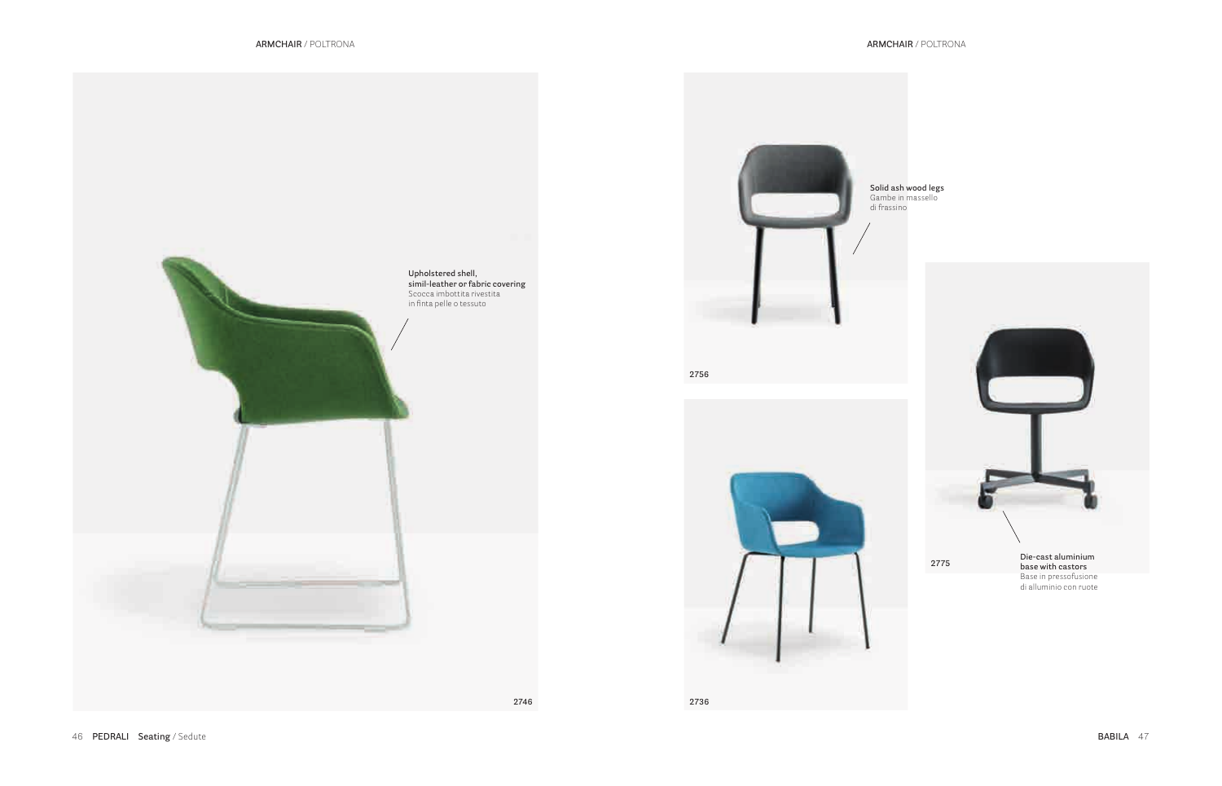

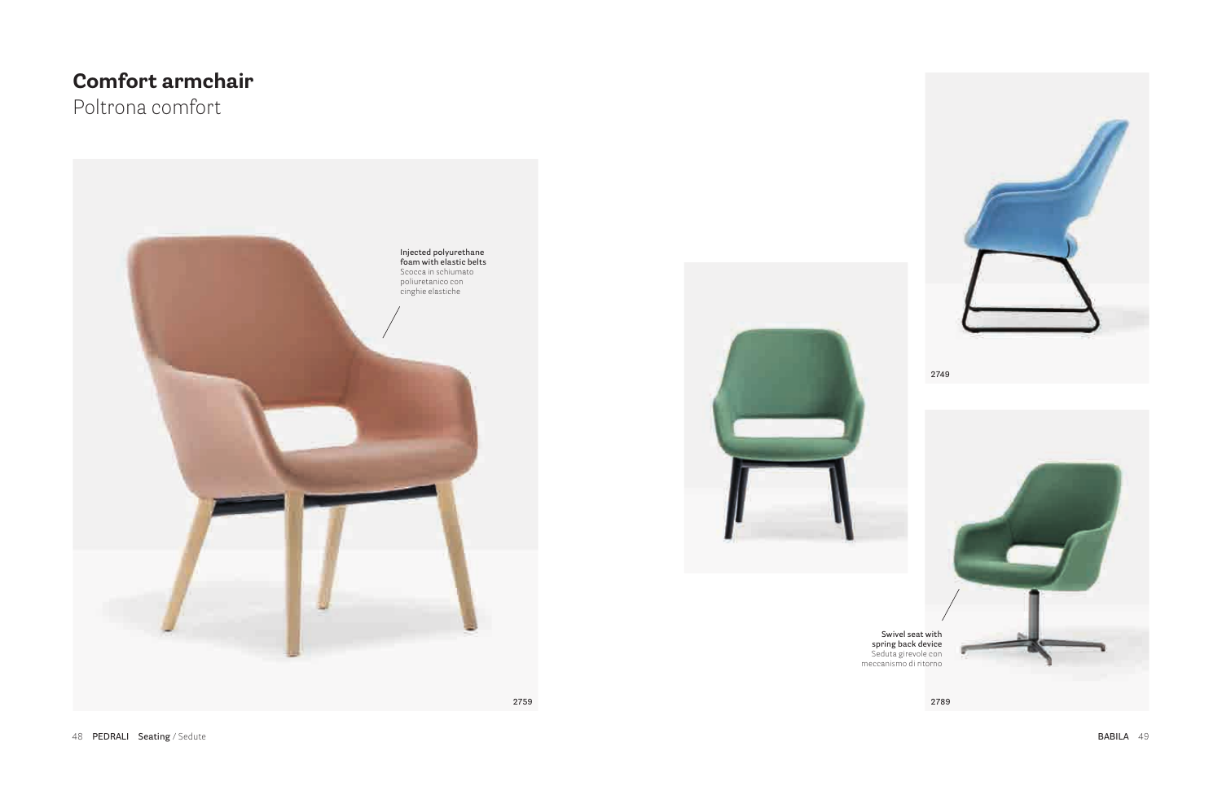## **Comfort armchair** Poltrona comfort







**Swivel seat with spring back device** Seduta girevole con meccanismo di ritorno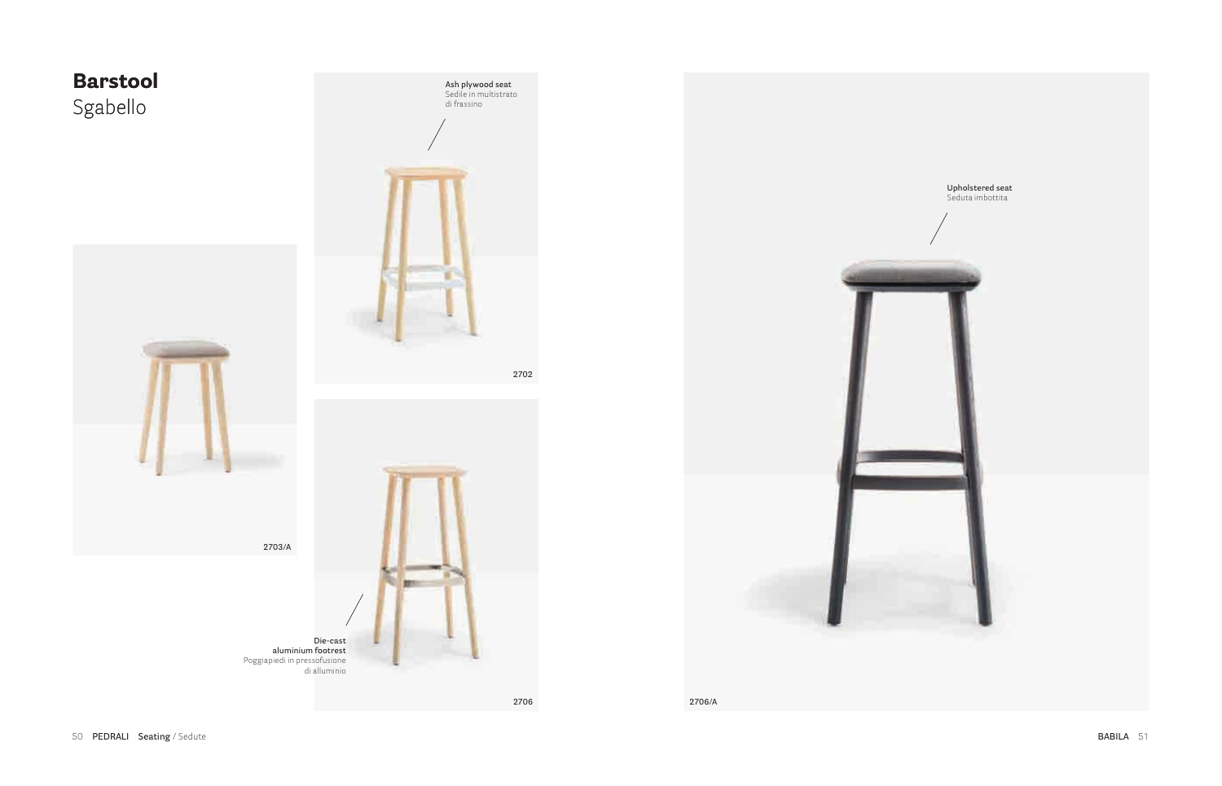

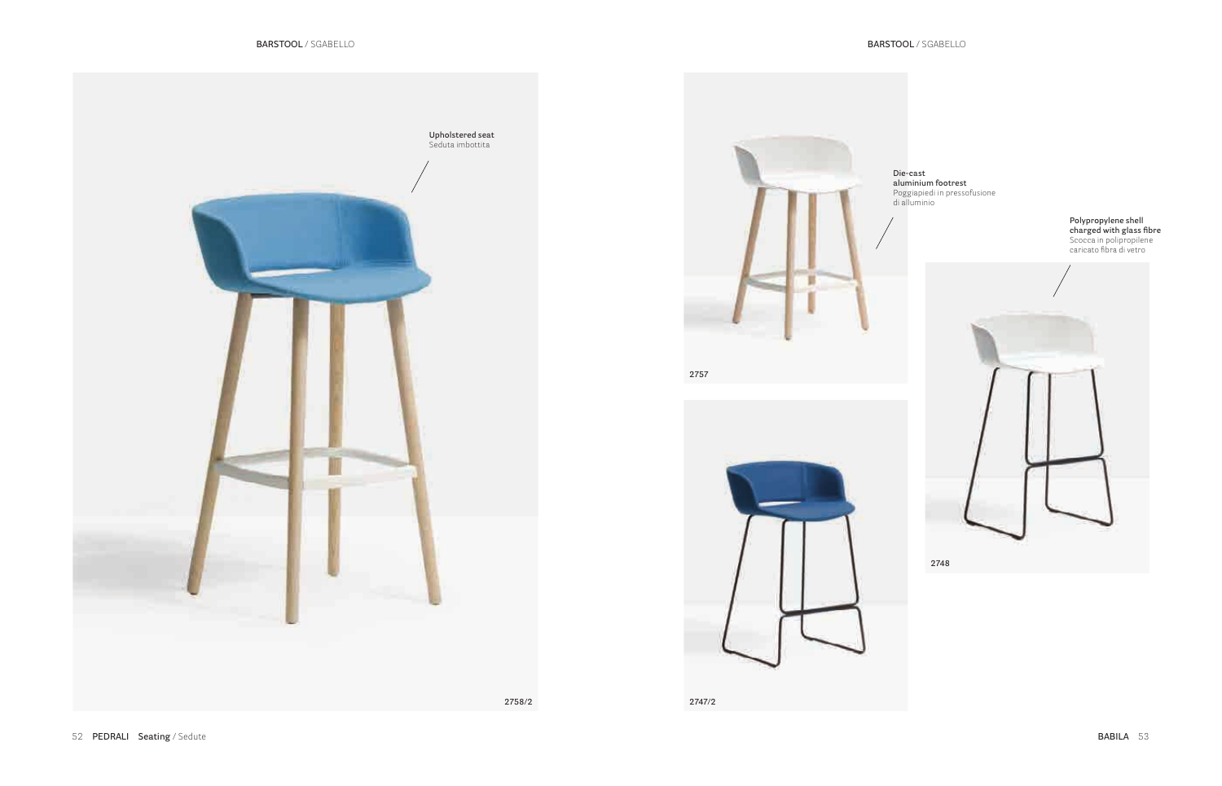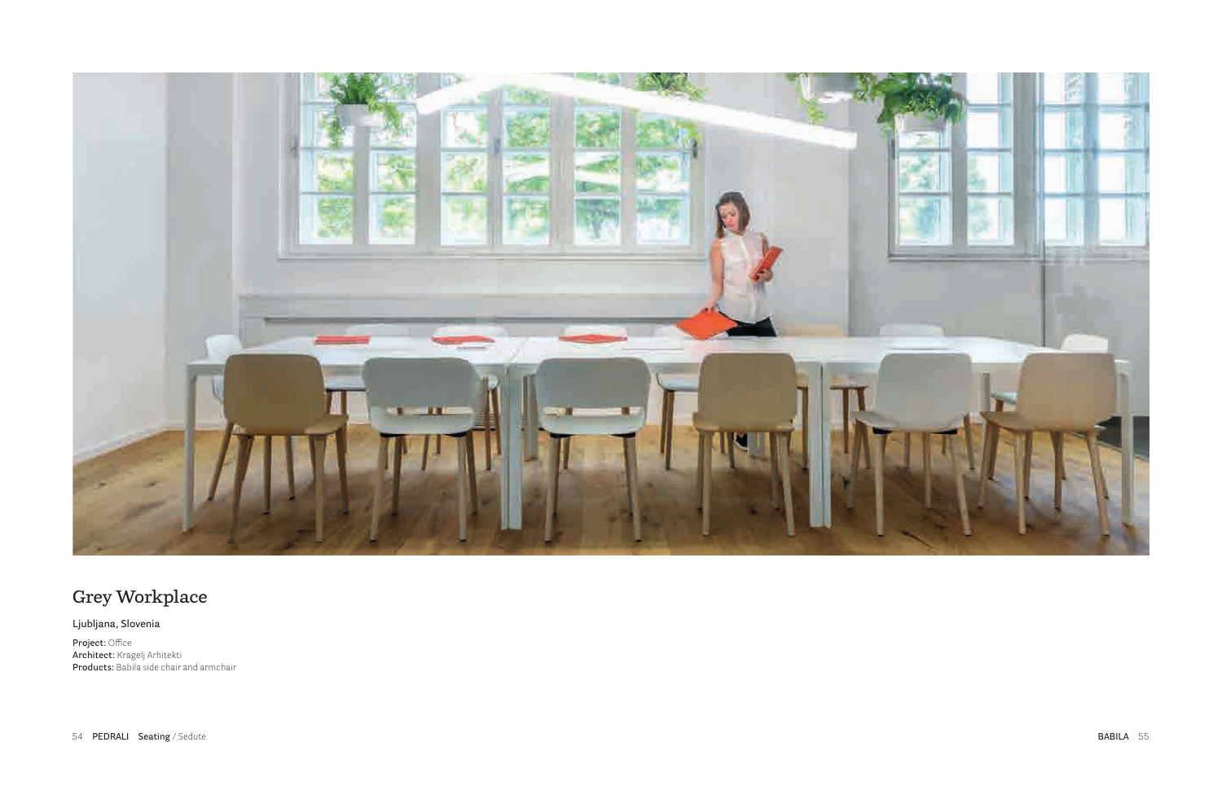

## **Grey Workplace**

## **Ljubljana, Slovenia**

**Project:** Office **Architect:** Kragelj Arhitekti **Products:** Babila side chair and armchair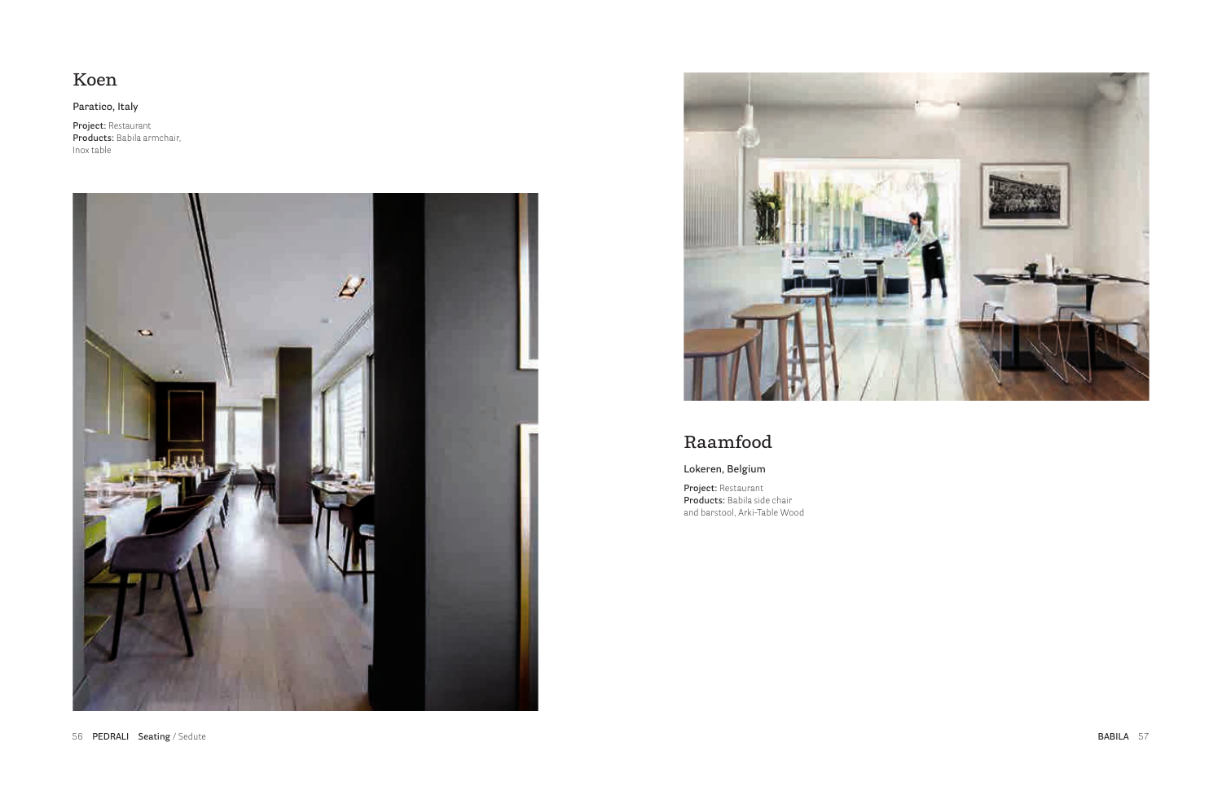## **Raamfood**

**Lokeren, Belgium**

**Project:** Restaurant **Products:** Babila side chair and barstool, Arki-Table Wood

## **Koen**

**Paratico, Italy**

**Project:** Restaurant **Products:** Babila armchair, Inox table



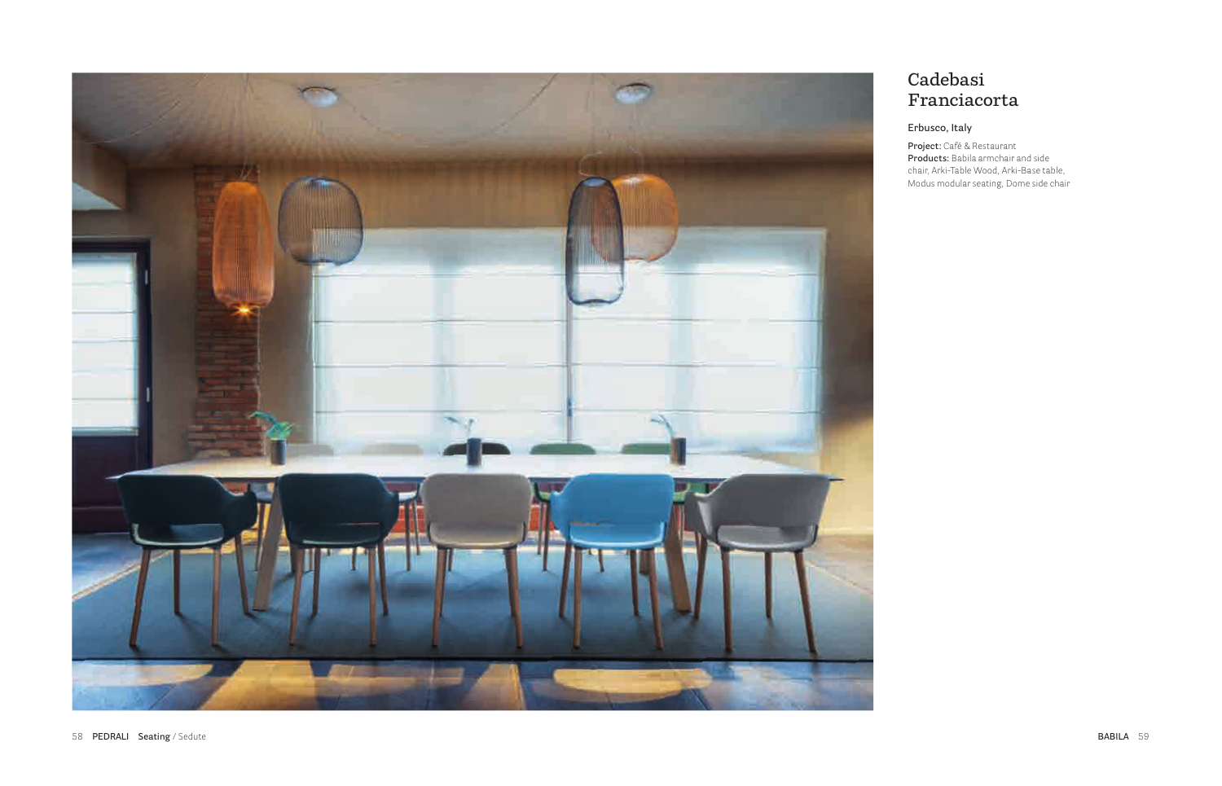

## **Cadebasi Franciacorta**

#### **Erbusco, Italy**

**Project:** Café & Restaurant **Products:** Babila armchair and side chair, Arki-Table Wood, Arki-Base table, Modus modular seating, Dome side chair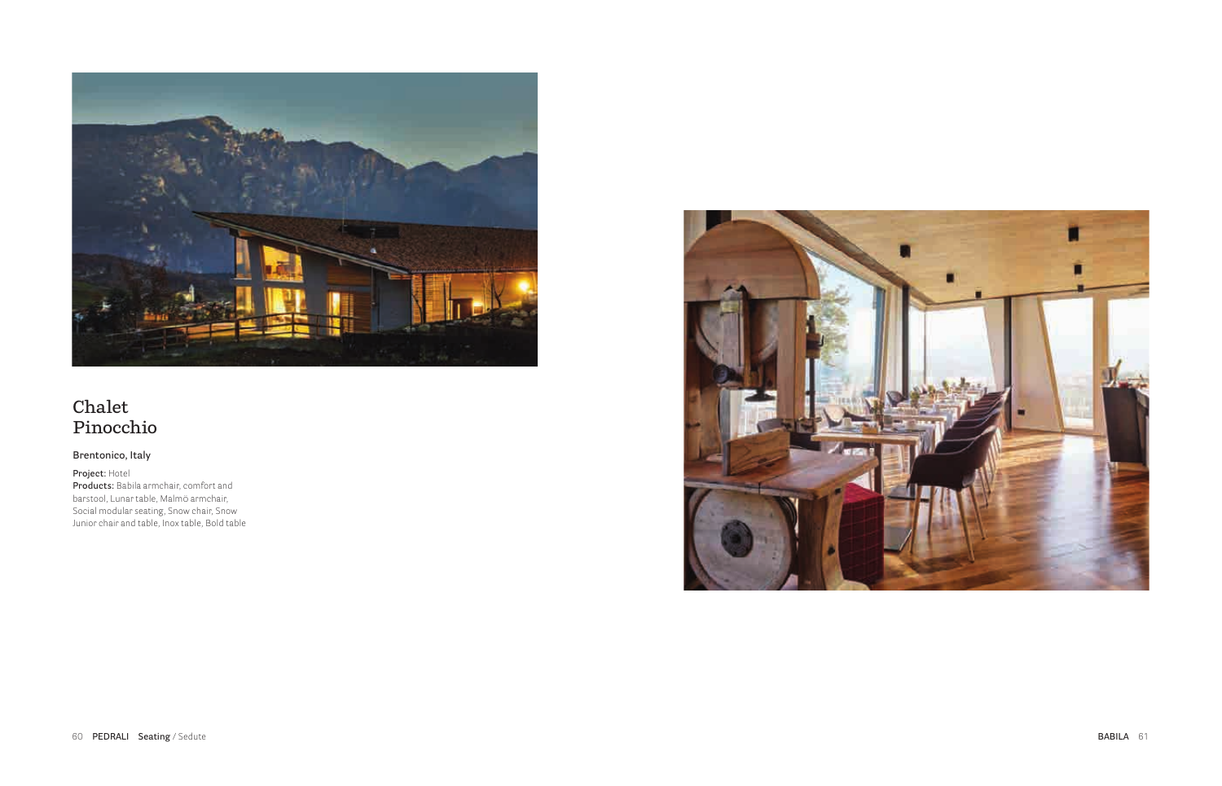

## **Chalet Pinocchio**

## **Brentonico, Italy**

**Project:** Hotel

**Products:** Babila armchair, comfort and barstool, Lunar table, Malmö armchair, Social modular seating, Snow chair, Snow Junior chair and table, Inox table, Bold table

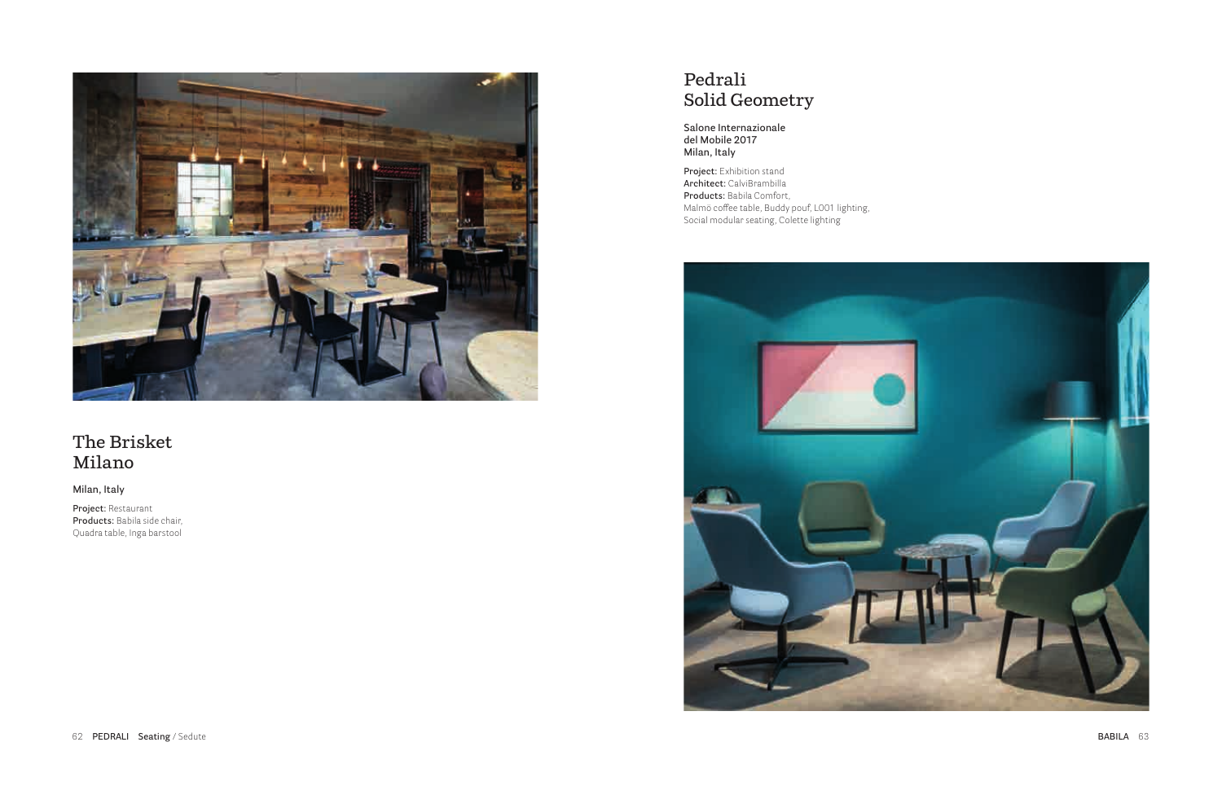

## **The Brisket Milano**

**Milan, Italy**

**Project:** Restaurant **Products:** Babila side chair, Quadra table, Inga barstool

## **Pedrali Solid Geometry**

**Salone Internazionale del Mobile 2017 Milan, Italy**

**Project:** Exhibition stand **Architect:** CalviBrambilla **Products:** Babila Comfort, Malmö coffee table, Buddy pouf, L001 lighting, Social modular seating, Colette lighting

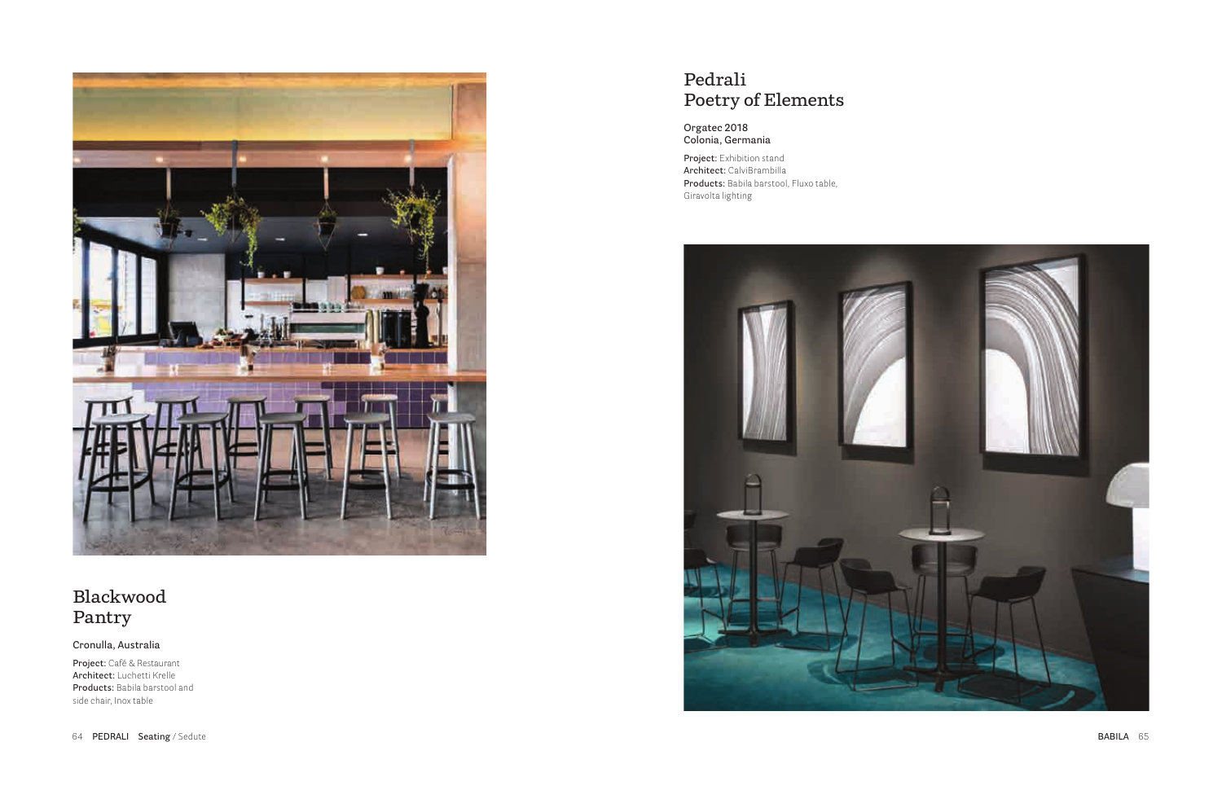

## **Blackwood Pantry**

## **Cronulla, Australia**

**Project:** Café & Restaurant **Architect:** Luchetti Krelle **Products:** Babila barstool and side chair, Inox table

## **Pedrali Poetry of Elements**

**Orgatec 2018 Colonia, Germania**

**Project:** Exhibition stand **Architect:** CalviBrambilla **Products:** Babila barstool, Fluxo table, Giravolta lighting

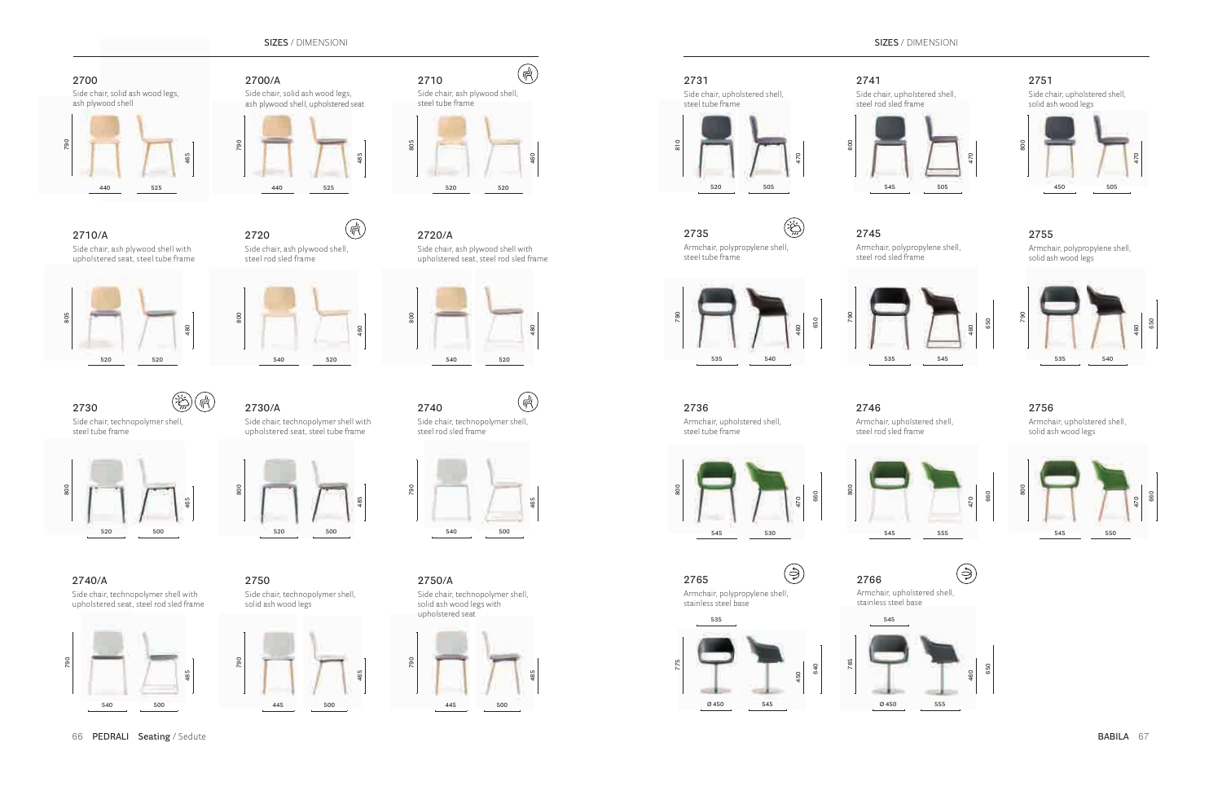

**485**

# **790**

**790**





**2700/A**

 $(\overline{\#})$ **2710** Side chair, ash plywood shell, steel tube frame **805**



**2720/A** Side chair, ash plywood shell with upholstered seat, steel rod sled frame

Side chair, solid ash wood legs, ash plywood shell, upholstered seat







**2730** Side chair, technopolymer shell, steel tube frame







**2740/A** Side chair, technopolymer shell with upholstered seat, steel rod sled frame





**2750/A** Side chair, technopolymer shell, solid ash wood legs with upholstered seat

**2740** Side chair, technopolymer shell, steel rod sled frame

**2730/A** Side chair, technopolymer shell with upholstered seat, steel tube frame



**2750** Side chair, technopolymer shell, solid ash wood legs

 $\begin{pmatrix} \frac{\partial^2 y}{\partial x^2} \\ \frac{\partial y}{\partial y} \end{pmatrix}$ **2735** Armchair, polypropylene shell, steel tube frame

**800**

**785**

**2766** Armchair, upholstered shell, stainless steel base

**2765** Armchair, polypropylene shell,

stainless steel base

**650 460**

**2746** Armchair, upholstered shell, steel rod sled frame

#### **2756**

Armchair, upholstered shell, solid ash wood legs



**800**





**2736** Armchair, upholstered shell, steel tube frame





**790**

**790**







#### **2755**

Armchair, polypropylene shell, solid ash wood legs









#### **2751**

Side chair, upholstered shell, solid ash wood legs



**2741**

#### Side chair, upholstered shell,



steel rod sled frame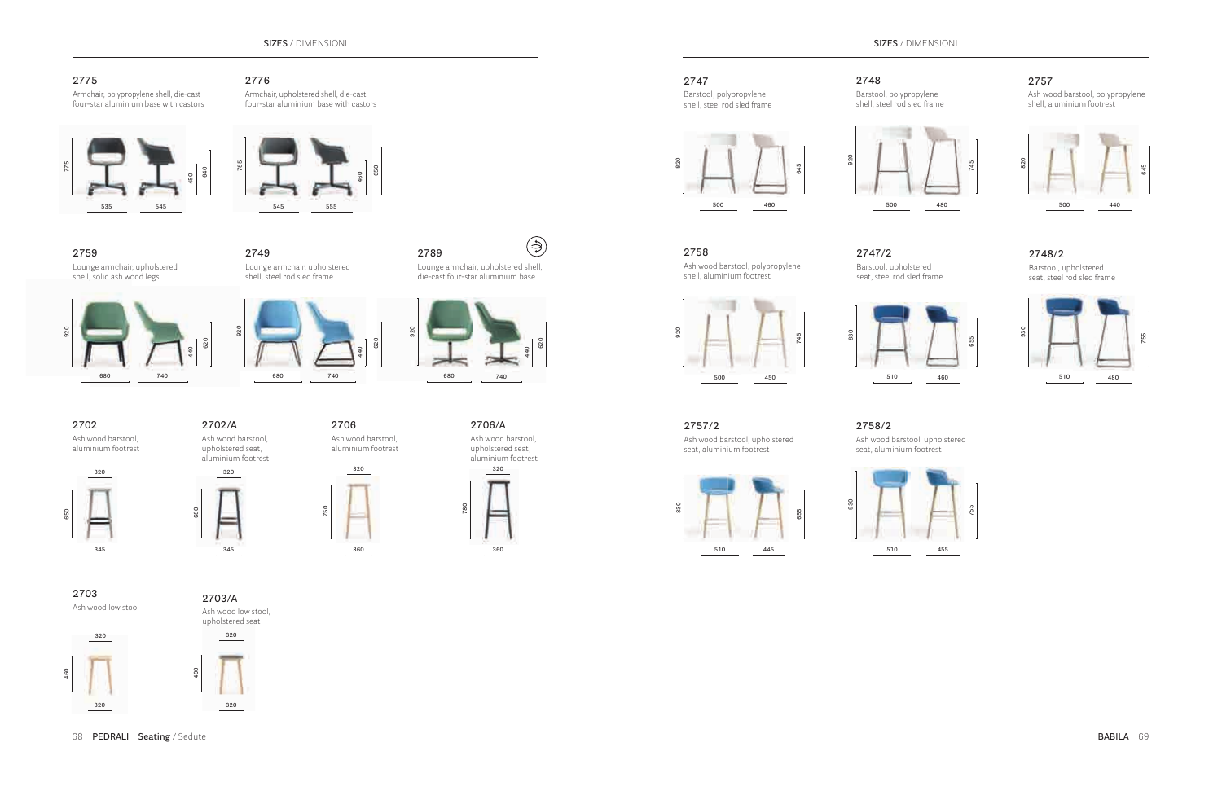#### **2775**

Armchair, polypropylene shell, die-cast four-star aluminium base with castors



**785 545 555**



68 **PEDRALI Seating** / Sedute **BABILA** 69



**2776**

Armchair, upholstered shell, die-cast four-star aluminium base with castors

**<sup>650</sup> <sup>460</sup>**





**2706/A**

Ash wood barstool, upholstered seat,



**780**

**2702/A**



Ash wood barstool, upholstered seat, aluminium footrest

**680**

Ash wood low stool, upholstered seat

**920**

 $\bigcirc$ **2789** Lounge armchair, upholstered shell, die-cast four-star aluminium base









Ash wood barstool, aluminium footrest



**2703** Ash wood low stool



**2706** Ash wood barstool, aluminium footrest







**360**

**750**

**2749**

Lounge armchair, upholstered

**2759** Lounge armchair, upholstered shell, solid ash wood legs





**440**





**745**



**2758** Ash wood barstool, polypropylene

shell, aluminium footrest

## Barstool, polypropylene

**2748** shell, steel rod sled frame





**2747/2** Barstool, upholstered seat, steel rod sled frame

#### **2748/2**



**2758/2** Ash wood barstool, upholstered seat, aluminium footrest

Barstool, upholstered seat, steel rod sled frame

**920**

**830**

**2747**







Barstool, polypropylene shell, steel rod sled frame

## **2757**

Ash wood barstool, polypropylene shell, aluminium footrest



**2757/2**

Ash wood barstool, upholstered seat, aluminium footrest